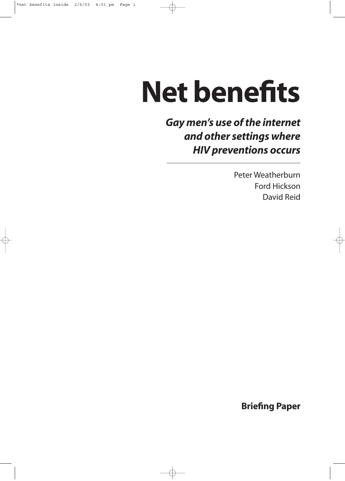# **Net benefits**

*Gay men's use of the internet and other settings where HIV preventions occurs*

> Peter Weatherburn Ford Hickson David Reid

> > **Briefing Paper**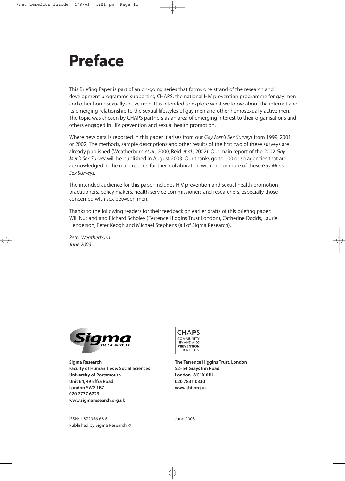### **Preface**

This Briefing Paper is part of an on-going series that forms one strand of the research and development programme supporting CHAPS, the national HIV prevention programme for gay men and other homosexually active men. It is intended to explore what we know about the internet and its emerging relationship to the sexual lifestyles of gay men and other homosexually active men. The topic was chosen by CHAPS partners as an area of emerging interest to their organisations and others engaged in HIV prevention and sexual health promotion.

Where new data is reported in this paper it arises from our *Gay Men's Sex Surveys* from 1999, 2001 or 2002. The methods, sample descriptions and other results of the first two of these surveys are already published (Weatherburn *et al.*, 2000; Reid *et al.*, 2002). Our main report of the 2002 *Gay Men's Sex Survey* will be published in August 2003. Our thanks go to 100 or so agencies that are acknowledged in the main reports for their collaboration with one or more of these *Gay Men's Sex Surveys.*

The intended audience for this paper includes HIV prevention and sexual health promotion practitioners, policy makers, health service commissioners and researchers, especially those concerned with sex between men.

Thanks to the following readers for their feedback on earlier drafts of this briefing paper: Will Nutland and Richard Scholey (Terrence Higgins Trust London), Catherine Dodds, Laurie Henderson, Peter Keogh and Michael Stephens (all of Sigma Research).

*Peter Weatherburn June 2003*



**Sigma Research The Terrence Higgins Trust, London Faculty of Humanities & Social Sciences 52–54 Grays Inn Road** University of Portsmouth **London. WC1X 8JU Unit 64, 49 Effra Road 020 7831 0330 London SW2 1BZ www.tht.org.uk 020 7737 6223 www.sigmaresearch.org.uk**



ISBN: 1 872956 68 8 June 2003 Published by Sigma Research ©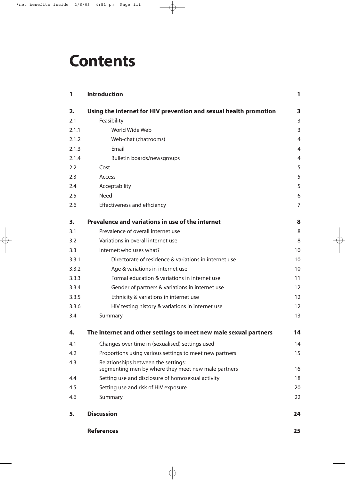| 1     | <b>Introduction</b>                                                                        | 1              |
|-------|--------------------------------------------------------------------------------------------|----------------|
| 2.    | Using the internet for HIV prevention and sexual health promotion                          | 3              |
| 2.1   | Feasibility                                                                                | 3              |
| 2.1.1 | World Wide Web                                                                             | 3              |
| 2.1.2 | Web-chat (chatrooms)                                                                       | $\overline{4}$ |
| 2.1.3 | Email                                                                                      | $\overline{4}$ |
| 2.1.4 | Bulletin boards/newsgroups                                                                 | 4              |
| 2.2   | Cost                                                                                       | 5              |
| 2.3   | Access                                                                                     | 5              |
| 2.4   | Acceptability                                                                              | 5              |
| 2.5   | <b>Need</b>                                                                                | 6              |
| 2.6   | Effectiveness and efficiency                                                               | $\overline{7}$ |
| 3.    | Prevalence and variations in use of the internet                                           | 8              |
| 3.1   | Prevalence of overall internet use                                                         | 8              |
| 3.2   | Variations in overall internet use                                                         | 8              |
| 3.3   | Internet: who uses what?                                                                   | 10             |
| 3.3.1 | Directorate of residence & variations in internet use                                      | 10             |
| 3.3.2 | Age & variations in internet use                                                           | 10             |
| 3.3.3 | Formal education & variations in internet use                                              | 11             |
| 3.3.4 | Gender of partners & variations in internet use                                            | 12             |
| 3.3.5 | Ethnicity & variations in internet use                                                     | 12             |
| 3.3.6 | HIV testing history & variations in internet use                                           | 12             |
| 3.4   | Summary                                                                                    | 13             |
| 4.    | The internet and other settings to meet new male sexual partners                           | 14             |
| 4.1   | Changes over time in (sexualised) settings used                                            | 14             |
| 4.2   | Proportions using various settings to meet new partners                                    | 15             |
| 4.3   | Relationships between the settings:<br>segmenting men by where they meet new male partners | 16             |
| 4.4   | Setting use and disclosure of homosexual activity                                          | 18             |
| 4.5   | Setting use and risk of HIV exposure                                                       | 20             |
| 4.6   | Summary                                                                                    | 22             |
| 5.    | <b>Discussion</b>                                                                          | 24             |

**References 25**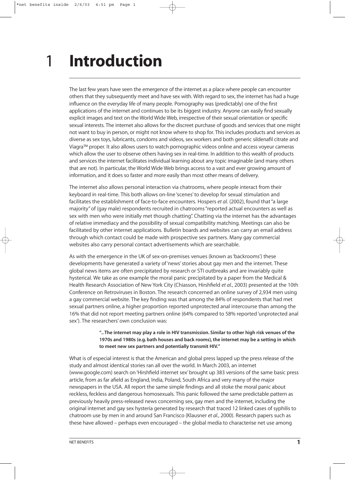### **Introduction** 1

The last few years have seen the emergence of the internet as a place where people can encounter others that they subsequently meet and have sex with. With regard to sex, the internet has had a huge influence on the everyday life of many people. Pornography was (predictably) one of the first applications of the internet and continues to be its biggest industry. Anyone can easily find sexually explicit images and text on the World Wide Web, irrespective of their sexual orientation or specific sexual interests. The internet also allows for the discreet purchase of goods and services that one might not want to buy in person, or might not know where to shop for. This includes products and services as diverse as sex toys, lubricants, condoms and videos, sex workers and both generic sildenafil citrate and Viagra™ proper. It also allows users to watch pornographic videos online and access voyeur cameras which allow the user to observe others having sex in real-time. In addition to this wealth of products and services the internet facilitates individual learning about any topic imaginable (and many others that are not). In particular, the World Wide Web brings access to a vast and ever growing amount of information, and it does so faster and more easily than most other means of delivery.

The internet also allows personal interaction via chatrooms, where people interact from their keyboard in real-time. This both allows on-line 'scenes' to develop for sexual stimulation and facilitates the establishment of face-to-face encounters. Hospers *et al.* (2002), found that "a large majority" of (gay male) respondents recruited in chatrooms "reported actual encounters as well as sex with men who were initially met though chatting". Chatting via the internet has the advantages of relative immediacy and the possibility of sexual compatibility matching. Meetings can also be facilitated by other internet applications. Bulletin boards and websites can carry an email address through which contact could be made with prospective sex partners. Many gay commercial websites also carry personal contact advertisements which are searchable.

As with the emergence in the UK of sex-on-premises venues (known as 'backrooms') these developments have generated a variety of 'news' stories about gay men and the internet. These global news items are often precipitated by research or STI outbreaks and are invariably quite hysterical. We take as one example the moral panic precipitated by a paper from the Medical & Health Research Association of New York City (Chiasson, Hirshfield *et al.*, 2003) presented at the 10th Conference on Retroviruses in Boston. The research concerned an online survey of 2,934 men using a gay commercial website. The key finding was that among the 84% of respondents that had met sexual partners online, a higher proportion reported unprotected anal intercourse than among the 16% that did not report meeting partners online (64% compared to 58% reported 'unprotected anal sex'). The researchers' own conclusion was:

#### **".. The internet may play a role in HIV transmission. Similar to other high risk venues of the 1970s and 1980s (e.g. bath houses and back rooms), the internet may be a setting in which to meet new sex partners and potentially transmit HIV."**

What is of especial interest is that the American and global press lapped up the press release of the study and almost identical stories ran all over the world. In March 2003, an internet (www.google.com) search on 'Hirshfield internet sex' brought up 383 versions of the same basic press article, from as far afield as England, India, Poland, South Africa and very many of the major newspapers in the USA. All report the same simple findings and all stoke the moral panic about reckless, feckless and dangerous homosexuals. This panic followed the same predictable pattern as previously heavily press-released news concerning sex, gay men and the internet, including the original internet and gay sex hysteria generated by research that traced 12 linked cases of syphilis to chatroom use by men in and around San Francisco (Klausner *et al.*, 2000). Research papers such as these have allowed – perhaps even encouraged – the global media to characterise net use among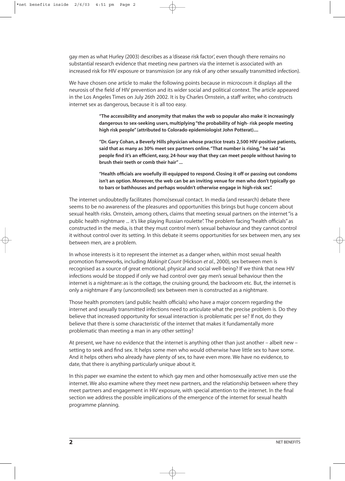gay men as what Hurley (2003) describes as a 'disease risk factor', even though there remains no substantial research evidence that meeting new partners via the internet is associated with an increased risk for HIV exposure or transmission (or any risk of any other sexually transmitted infection).

We have chosen one article to make the following points because in microcosm it displays all the neurosis of the field of HIV prevention and its wider social and political context. The article appeared in the Los Angeles Times on July 26th 2002. It is by Charles Ornstein, a staff writer, who constructs internet sex as dangerous, because it is all too easy.

> **"The accessibility and anonymity that makes the web so popular also make it increasingly dangerous to sex-seeking users, multiplying "the probability of high- risk people meeting high risk people" (attributed to Colorado epidemiologist John Potterat)....**

**"Dr. Gary Cohan, a Beverly Hills physician whose practice treats 2,500 HIV-positive patients, said that as many as 30% meet sex partners online."That number is rising," he said "as people find it's an efficient, easy, 24-hour way that they can meet people without having to brush their teeth or comb their hair" ...**

**"Health officials are woefully ill-equipped to respond. Closing it off or passing out condoms isn't an option. Moreover, the web can be an inviting venue for men who don't typically go to bars or bathhouses and perhaps wouldn't otherwise engage in high-risk sex".**

The internet undoubtedly facilitates (homo)sexual contact. In media (and research) debate there seems to be no awareness of the pleasures and opportunities this brings but huge concern about sexual health risks. Ornstein, among others, claims that meeting sexual partners on the internet "is a public health nightmare ... it's like playing Russian roulette". The problem facing "health officials" as constructed in the media, is that they must control men's sexual behaviour and they cannot control it without control over its setting. In this debate it seems opportunities for sex between men, any sex between men, are a problem.

In whose interests is it to represent the internet as a danger when, within most sexual health promotion frameworks, including *Makingit Count* (Hickson *et al.*, 2000), sex between men is recognised as a source of great emotional, physical and social well-being? If we think that new HIV infections would be stopped if only we had control over gay men's sexual behaviour then the internet is a nightmare: as is the cottage, the cruising ground, the backroom etc. But, the internet is only a nightmare if any (uncontrolled) sex between men is constructed as a nightmare.

Those health promoters (and public health officials) who have a major concern regarding the internet and sexually transmitted infections need to articulate what the precise problem is. Do they believe that increased opportunity for sexual interaction is problematic per se? If not, do they believe that there is some characteristic of the internet that makes it fundamentally more problematic than meeting a man in any other setting?

At present, we have no evidence that the internet is anything other than just another – albeit new – setting to seek and find sex. It helps some men who would otherwise have little sex to have some. And it helps others who already have plenty of sex, to have even more. We have no evidence, to date, that there is anything particularly unique about it.

In this paper we examine the extent to which gay men and other homosexually active men use the internet. We also examine where they meet new partners, and the relationship between where they meet partners and engagement in HIV exposure, with special attention to the internet. In the final section we address the possible implications of the emergence of the internet for sexual health programme planning.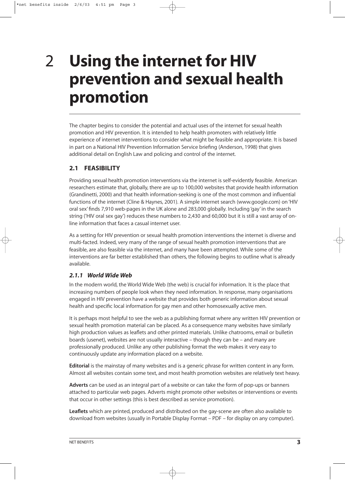### 2

# **Using the internet for HIV prevention and sexual health promotion**

The chapter begins to consider the potential and actual uses of the internet for sexual health promotion and HIV prevention. It is intended to help health promoters with relatively little experience of internet interventions to consider what might be feasible and appropriate. It is based in part on a National HIV Prevention Information Service briefing (Anderson, 1998) that gives additional detail on English Law and policing and control of the internet.

#### **2.1 FEASIBILITY**

Providing sexual health promotion interventions via the internet is self-evidently feasible. American researchers estimate that, globally, there are up to 100,000 websites that provide health information (Grandinetti, 2000) and that health information-seeking is one of the most common and influential functions of the internet (Cline & Haynes, 2001). A simple internet search (www.google.com) on 'HIV oral sex' finds 7,910 web-pages in the UK alone and 283,000 globally. Including 'gay' in the search string ('HIV oral sex gay') reduces these numbers to 2,430 and 60,000 but it is still a vast array of online information that faces a casual internet user.

As a setting for HIV prevention or sexual health promotion interventions the internet is diverse and multi-facted. Indeed, very many of the range of sexual health promotion interventions that are feasible, are also feasible via the internet, and many have been attempted. While some of the interventions are far better established than others, the following begins to outline what is already available.

#### *2.1.1 World Wide Web*

In the modern world, the World Wide Web (the web) is crucial for information. It is the place that increasing numbers of people look when they need information. In response, many organisations engaged in HIV prevention have a website that provides both generic information about sexual health and specific local information for gay men and other homosexually active men.

It is perhaps most helpful to see the web as a publishing format where any written HIV prevention or sexual health promotion material can be placed. As a consequence many websites have similarly high production values as leaflets and other printed materials. Unlike chatrooms, email or bulletin boards (usenet), websites are not usually interactive – though they can be – and many are professionally produced. Unlike any other publishing format the web makes it very easy to continuously update any information placed on a website.

**Editorial** is the mainstay of many websites and is a generic phrase for written content in any form. Almost all websites contain some text, and most health promotion websites are relatively text heavy.

**Adverts** can be used as an integral part of a website or can take the form of pop-ups or banners attached to particular web pages. Adverts might promote other websites or interventions or events that occur in other settings (this is best described as service promotion).

**Leaflets** which are printed, produced and distributed on the gay-scene are often also available to download from websites (usually in Portable Display Format – PDF – for display on any computer).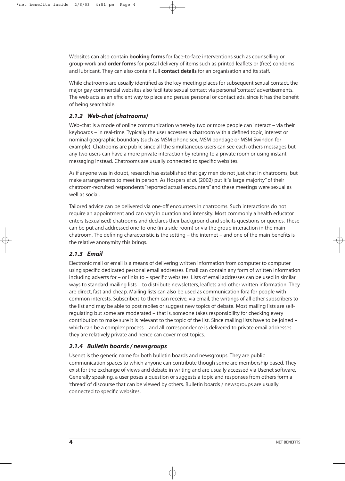Websites can also contain **booking forms** for face-to-face interventions such as counselling or group-work and **order forms** for postal delivery of items such as printed leaflets or (free) condoms and lubricant. They can also contain full **contact details** for an organisation and its staff.

While chatrooms are usually identified as the key meeting places for subsequent sexual contact, the major gay commercial websites also facilitate sexual contact via personal 'contact' advertisements. The web acts as an efficient way to place and peruse personal or contact ads, since it has the benefit of being searchable.

#### *2.1.2 Web-chat (chatrooms)*

Web-chat is a mode of online communication whereby two or more people can interact – via their keyboards – in real-time. Typically the user accesses a chatroom with a defined topic, interest or nominal geographic boundary (such as MSM phone sex, MSM bondage or MSM Swindon for example). Chatrooms are public since all the simultaneous users can see each others messages but any two users can have a more private interaction by retiring to a private room or using instant messaging instead. Chatrooms are usually connected to specific websites.

As if anyone was in doubt, research has established that gay men do not just chat in chatrooms, but make arrangements to meet in person. As Hospers *et al.* (2002) put it "a large majority" of their chatroom-recruited respondents "reported actual encounters" and these meetings were sexual as well as social.

Tailored advice can be delivered via one-off encounters in chatrooms. Such interactions do not require an appointment and can vary in duration and intensity. Most commonly a health educator enters (sexualised) chatrooms and declares their background and solicits questions or queries. These can be put and addressed one-to-one (in a side-room) or via the group interaction in the main chatroom. The defining characteristic is the setting – the internet – and one of the main benefits is the relative anonymity this brings.

#### *2.1.3 Email*

Electronic mail or email is a means of delivering written information from computer to computer using specific dedicated personal email addresses. Email can contain any form of written information including adverts for – or links to – specific websites. Lists of email addresses can be used in similar ways to standard mailing lists – to distribute newsletters, leaflets and other written information. They are direct, fast and cheap. Mailing lists can also be used as communication fora for people with common interests. Subscribers to them can receive, via email, the writings of all other subscribers to the list and may be able to post replies or suggest new topics of debate. Most mailing lists are selfregulating but some are moderated – that is, someone takes responsibility for checking every contribution to make sure it is relevant to the topic of the list. Since mailing lists have to be joined – which can be a complex process – and all correspondence is delivered to private email addresses they are relatively private and hence can cover most topics.

#### *2.1.4 Bulletin boards / newsgroups*

Usenet is the generic name for both bulletin boards and newsgroups. They are public communication spaces to which anyone can contribute though some are membership based. They exist for the exchange of views and debate in writing and are usually accessed via Usenet software. Generally speaking, a user poses a question or suggests a topic and responses from others form a 'thread' of discourse that can be viewed by others. Bulletin boards / newsgroups are usually connected to specific websites.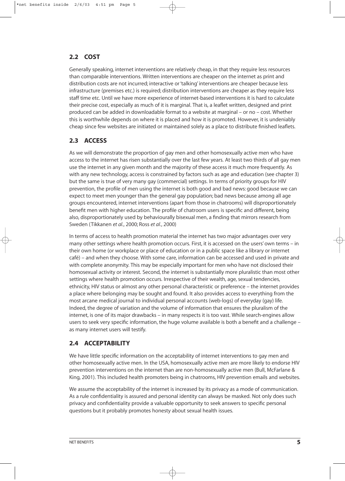#### **2.2 COST**

Generally speaking, internet interventions are relatively cheap, in that they require less resources than comparable interventions. Written interventions are cheaper on the internet as print and distribution costs are not incurred; interactive or 'talking' interventions are cheaper because less infrastructure (premises etc.) is required; distribution interventions are cheaper as they require less staff time etc. Until we have more experience of internet-based interventions it is hard to calculate their precise cost, especially as much of it is marginal. That is, a leaflet written, designed and print produced can be added in downloadable format to a website at marginal – or no – cost. Whether this is worthwhile depends on where it is placed and how it is promoted. However, it is undeniably cheap since few websites are initiated or maintained solely as a place to distribute finished leaflets.

#### **2.3 ACCESS**

As we will demonstrate the proportion of gay men and other homosexually active men who have access to the internet has risen substantially over the last few years. At least two thirds of all gay men use the internet in any given month and the majority of these access it much more frequently. As with any new technology, access is constrained by factors such as age and education (see chapter 3) but the same is true of very many gay (commercial) settings. In terms of priority groups for HIV prevention, the profile of men using the internet is both good and bad news: good because we can expect to meet men younger than the general gay population; bad news because among all age groups encountered, internet interventions (apart from those in chatrooms) will disproportionately benefit men with higher education. The profile of chatroom users is specific and different, being also, disproportionately used by behaviourally bisexual men, a finding that mirrors research from Sweden (Tikkanen *et al.*, 2000; Ross *et al.*, 2000)

In terms of access to health promotion material the internet has two major advantages over very many other settings where health promotion occurs. First, it is accessed on the users' own terms – in their own home (or workplace or place of education or in a public space like a library or internet café) – and when they choose. With some care, information can be accessed and used in private and with complete anonymity. This may be especially important for men who have not disclosed their homosexual activity or interest. Second, the internet is substantially more pluralistic than most other settings where health promotion occurs. Irrespective of their wealth, age, sexual tendencies, ethnicity, HIV status or almost any other personal characteristic or preference – the internet provides a place where belonging may be sought and found. It also provides access to everything from the most arcane medical journal to individual personal accounts (web-logs) of everyday (gay) life. Indeed, the degree of variation and the volume of information that ensures the pluralism of the internet, is one of its major drawbacks – in many respects it is too vast. While search-engines allow users to seek very specific information, the huge volume available is both a benefit and a challenge – as many internet users will testify.

#### **2.4 ACCEPTABILITY**

We have little specific information on the acceptability of internet interventions to gay men and other homosexually active men. In the USA, homosexually active men are more likely to endorse HIV prevention interventions on the internet than are non-homosexually active men (Bull, McFarlane & King, 2001). This included health promoters being in chatrooms, HIV prevention emails and websites.

We assume the acceptability of the internet is increased by its privacy as a mode of communication. As a rule confidentiality is assured and personal identity can always be masked. Not only does such privacy and confidentiality provide a valuable opportunity to seek answers to specific personal questions but it probably promotes honesty about sexual health issues.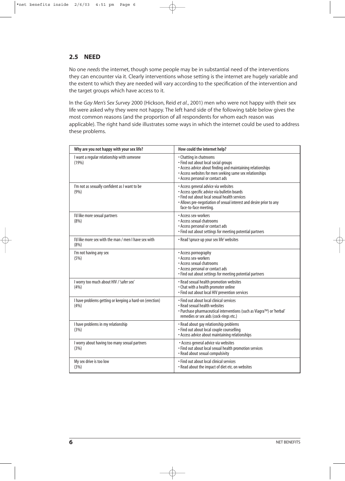#### **2.5 NEED**

No one *needs* the internet, though some people may be in substantial need of the interventions they can encounter via it. Clearly interventions whose setting is the internet are hugely variable and the extent to which they are needed will vary according to the specification of the intervention and the target groups which have access to it.

In the *Gay Men's Sex Survey* 2000 (Hickson, Reid *et al.*, 2001) men who were not happy with their sex life were asked why they were not happy. The left hand side of the following table below gives the most common reasons (and the proportion of all respondents for whom each reason was applicable). The right hand side illustrates some ways in which the internet could be used to address these problems.

| Why are you not happy with your sex life?                        | How could the internet help?                                                                                                                                                                                                          |
|------------------------------------------------------------------|---------------------------------------------------------------------------------------------------------------------------------------------------------------------------------------------------------------------------------------|
| I want a regular relationship with someone<br>(19%)              | • Chatting in chatrooms<br>• Find out about local social groups<br>• Access advice about finding and maintaining relationships<br>• Access websites for men seeking same sex relationships<br>• Access personal or contact ads        |
| I'm not as sexually confident as I want to be<br>(9%)            | • Access general advice via websites<br>• Access specific advice via bulletin boards<br>· Find out about local sexual health services<br>• Allows pre-negotiation of sexual interest and desire prior to any<br>face-to-face meeting. |
| I'd like more sexual partners<br>(8%)                            | • Access sex-workers<br>• Access sexual chatrooms<br>• Access personal or contact ads<br>• Find out about settings for meeting potential partners                                                                                     |
| I'd like more sex with the man / men I have sex with<br>(8%)     | • Read 'spruce up your sex life' websites                                                                                                                                                                                             |
| I'm not having any sex<br>(5%)                                   | • Access pornography<br>• Access sex-workers<br>• Access sexual chatrooms<br>• Access personal or contact ads<br>• Find out about settings for meeting potential partners                                                             |
| I worry too much about HIV / 'safer sex'<br>(4%)                 | • Read sexual health promotion websites<br>• Chat with a health promoter online<br>· Find out about local HIV prevention services                                                                                                     |
| I have problems getting or keeping a hard-on (erection)<br>(4% ) | . Find out about local clinical services<br>• Read sexual health websites<br>• Purchase pharmaceutical interventions (such as Viagra™) or 'herbal'<br>remedies or sex aids (cock-rings etc.)                                          |
| I have problems in my relationship<br>(3%)                       | • Read about gay relationship problems<br>· Find out about local couple counselling<br>• Access advice about maintaining relationships                                                                                                |
| I worry about having too many sexual partners<br>(3%)            | • Access general advice via websites<br>· Find out about local sexual health promotion services<br>• Read about sexual compulsivity                                                                                                   |
| My sex drive is too low<br>(3%)                                  | • Find out about local clinical services<br>• Read about the impact of diet etc. on websites                                                                                                                                          |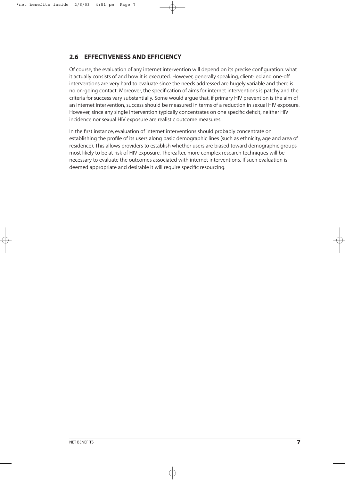#### **2.6 EFFECTIVENESS AND EFFICIENCY**

Of course, the evaluation of any internet intervention will depend on its precise configuration: what it actually consists of and how it is executed. However, generally speaking, client-led and one-off interventions are very hard to evaluate since the needs addressed are hugely variable and there is no on-going contact. Moreover, the specification of aims for internet interventions is patchy and the criteria for success vary substantially. Some would argue that, if primary HIV prevention is the aim of an internet intervention, success should be measured in terms of a reduction in sexual HIV exposure. However, since any single intervention typically concentrates on one specific deficit, neither HIV incidence nor sexual HIV exposure are realistic outcome measures.

In the first instance, evaluation of internet interventions should probably concentrate on establishing the profile of its users along basic demographic lines (such as ethnicity, age and area of residence). This allows providers to establish whether users are biased toward demographic groups most likely to be at risk of HIV exposure. Thereafter, more complex research techniques will be necessary to evaluate the outcomes associated with internet interventions. If such evaluation is deemed appropriate and desirable it will require specific resourcing.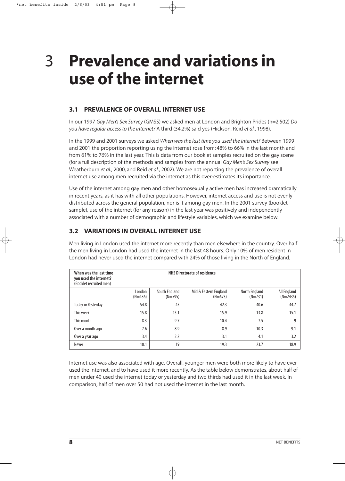3

## **Prevalence and variations in use of the internet**

#### **3.1 PREVALENCE OF OVERALL INTERNET USE**

In our 1997 *Gay Men's Sex Survey* (GMSS) we asked men at London and Brighton Prides (n=2,502) *Do you have regular access to the internet?* A third (34.2%) said yes (Hickson, Reid *et al.*, 1998).

In the 1999 and 2001 surveys we asked *When was the last time you used the internet?* Between 1999 and 2001 the proportion reporting using the internet rose from: 48% to 66% in the last month and from 61% to 76% in the last year. This is data from our booklet samples recruited on the gay scene (for a full description of the methods and samples from the annual *Gay Men's Sex Survey* see Weatherburn *et al.*, 2000; and Reid *et al.*, 2002). We are not reporting the prevalence of overall internet use among men recruited via the internet as this over-estimates its importance.

Use of the internet among gay men and other homosexually active men has increased dramatically in recent years, as it has with all other populations. However, internet access and use is not evenly distributed across the general population, nor is it among gay men. In the 2001 survey (booklet sample), use of the internet (for any reason) in the last year was positively and independently associated with a number of demographic and lifestyle variables, which we examine below.

#### **3.2 VARIATIONS IN OVERALL INTERNET USE**

Men living in London used the internet more recently than men elsewhere in the country. Over half the men living in London had used the internet in the last 48 hours. Only 10% of men resident in London had never used the internet compared with 24% of those living in the North of England.

| When was the last time<br>you used the internet?<br>(Booklet recruited men) |                     | <b>NHS Directorate of residence</b> |                                    |                            |                           |  |  |
|-----------------------------------------------------------------------------|---------------------|-------------------------------------|------------------------------------|----------------------------|---------------------------|--|--|
|                                                                             | London<br>$(N=436)$ | South England<br>$(N=595)$          | Mid & Eastern England<br>$(N=673)$ | North England<br>$(N=731)$ | All England<br>$(N=2435)$ |  |  |
| <b>Today or Yesterday</b>                                                   | 54.8                | 45                                  | 42.3                               | 40.6                       | 44.7                      |  |  |
| This week                                                                   | 15.8                | 15.1                                | 15.9                               | 13.8                       | 15.1                      |  |  |
| This month                                                                  | 8.3                 | 9.7                                 | 10.4                               | 7.5                        | q                         |  |  |
| Over a month ago                                                            | 7.6                 | 8.9                                 | 8.9                                | 10.3                       | 9.1                       |  |  |
| Over a year ago                                                             | 3.4                 | 2.2                                 | 3.1                                | 4.1                        | 3.2                       |  |  |
| Never                                                                       | 10.1                | 19                                  | 19.3                               | 23.7                       | 18.9                      |  |  |

Internet use was also associated with age. Overall, younger men were both more likely to have ever used the internet, and to have used it more recently. As the table below demonstrates, about half of men under 40 used the internet today or yesterday and two thirds had used it in the last week. In comparison, half of men over 50 had not used the internet in the last month.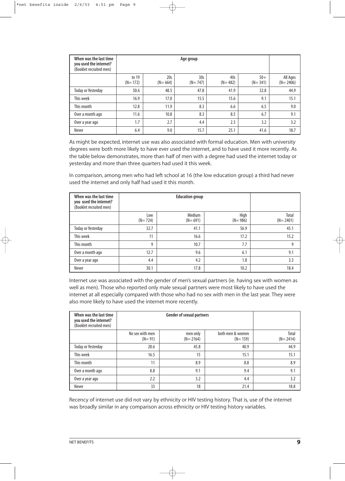| When was the last time<br>you used the internet?<br>(Booklet recruited men) |                      | Age group        |                  |                    |                      |                          |  |  |
|-----------------------------------------------------------------------------|----------------------|------------------|------------------|--------------------|----------------------|--------------------------|--|--|
|                                                                             | to 19<br>$(N = 172)$ | 20s<br>$(N=664)$ | 30s<br>$(N=747)$ | 40s<br>$(N = 482)$ | $50+$<br>$(N = 341)$ | All Ages<br>$(N = 2406)$ |  |  |
| <b>Today or Yesterday</b>                                                   | 50.6                 | 48.5             | 47.8             | 41.9               | 32.8                 | 44.9                     |  |  |
| This week                                                                   | 16.9                 | 17.0             | 15.5             | 15.6               | 9.1                  | 15.1                     |  |  |
| This month                                                                  | 12.8                 | 11.9             | 8.3              | 6.6                | 6.5                  | 9.0                      |  |  |
| Over a month ago                                                            | 11.6                 | 10.8             | 8.3              | 8.5                | 6.7                  | 9.1                      |  |  |
| Over a year ago                                                             | 1.7                  | 2.7              | 4.4              | 2.3                | 3.2                  | 3.2                      |  |  |
| Never                                                                       | 6.4                  | 9.0              | 15.7             | 25.1               | 41.6                 | 18.7                     |  |  |

As might be expected, internet use was also associated with formal education. Men with university degrees were both more likely to have ever used the internet, and to have used it more recently. As the table below demonstrates, more than half of men with a degree had used the internet today or yesterday and more than three quarters had used it this week.

In comparison, among men who had left school at 16 (the low education group) a third had never used the internet and only half had used it this month.

| When was the last time<br>you used the internet?<br>(Booklet recruited men) |                  |                     |                     |                     |
|-----------------------------------------------------------------------------|------------------|---------------------|---------------------|---------------------|
|                                                                             | Low<br>$(N=724)$ | Medium<br>$(N=691)$ | High<br>$(N = 986)$ | Total<br>$(N=2401)$ |
| <b>Today or Yesterday</b>                                                   | 32.7             | 41.1                | 56.9                | 45.1                |
| This week                                                                   | 11               | 16.6                | 17.2                | 15.2                |
| This month                                                                  | 9                | 10.7                | 7.7                 | 9                   |
| Over a month ago                                                            | 12.7             | 9.6                 | 6.1                 | 9.1                 |
| Over a year ago                                                             | 4.4              | 4.2                 | 1.8                 | 3.3                 |
| Never                                                                       | 30.1             | 17.8                | 10.2                | 18.4                |

Internet use was associated with the gender of men's sexual partners (ie. having sex with women as well as men). Those who reported only male sexual partners were most likely to have used the internet at all especially compared with those who had no sex with men in the last year. They were also more likely to have used the internet more recently.

| When was the last time<br>you used the internet?<br>(Booklet recruited men) |                               | <b>Gender of sexual partners</b> |                               |                       |  |  |
|-----------------------------------------------------------------------------|-------------------------------|----------------------------------|-------------------------------|-----------------------|--|--|
|                                                                             | No sex with men<br>$(N = 91)$ | men only<br>$(N = 2164)$         | both men & women<br>$(N=159)$ | Total<br>$(N = 2414)$ |  |  |
| <b>Today or Yesterday</b>                                                   | 28.6                          | 45.8                             | 40.9                          | 44.9                  |  |  |
| This week                                                                   | 16.5                          | 15                               | 15.1                          | 15.1                  |  |  |
| This month                                                                  | 11                            | 8.9                              | 8.8                           | 8.9                   |  |  |
| Over a month ago                                                            | 8.8                           | 9.1                              | 9.4                           | 9.1                   |  |  |
| Over a year ago                                                             | 2.2                           | 3.2                              | 4.4                           | 3.2                   |  |  |
| Never                                                                       | 33                            | 18                               | 21.4                          | 18.8                  |  |  |

Recency of internet use did not vary by ethnicity or HIV testing history. That is, use of the internet was broadly similar in any comparison across ethnicity or HIV testing history variables.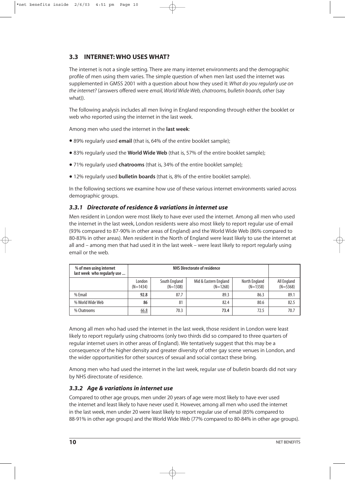#### **3.3 INTERNET: WHO USES WHAT?**

The internet is not a single setting. There are many internet environments and the demographic profile of men using them varies. The simple question of when men last used the internet was supplemented in GMSS 2001 with a question about how they used it: *What do you regularly use on the internet?* (answers offered were *email, World Wide Web, chatrooms, bulletin boards, other* (say what)).

The following analysis includes all men living in England responding through either the booklet or web who reported using the internet in the last week.

Among men who used the internet in the **last week**:

- 89% regularly used **email** (that is, 64% of the entire booklet sample);
- 83% regularly used the **World Wide Web** (that is, 57% of the entire booklet sample);
- 71% regularly used **chatrooms** (that is, 34% of the entire booklet sample);
- 12% regularly used **bulletin boards** (that is, 8% of the entire booklet sample).

In the following sections we examine how use of these various internet environments varied across demographic groups.

#### *3.3.1 Directorate of residence & variations in internet use*

Men resident in London were most likely to have ever used the internet. Among all men who used the internet in the last week, London residents were also most likely to report regular use of email (93% compared to 87-90% in other areas of England) and the World Wide Web (86% compared to 80-83% in other areas). Men resident in the North of England were least likely to use the internet at all and – among men that had used it in the last week – were least likely to report regularly using email or the web.

| % of men using internet<br>last week who regularly use |                      | <b>NHS Directorate of residence</b>                                                               |      |      |      |  |  |
|--------------------------------------------------------|----------------------|---------------------------------------------------------------------------------------------------|------|------|------|--|--|
|                                                        | London<br>$(N=1434)$ | South England<br>Mid & Eastern England<br>North England<br>$(N=1358)$<br>$(N=1308)$<br>$(N=1268)$ |      |      |      |  |  |
| % Email                                                | 92.8                 | 87.7                                                                                              | 89.3 | 86.3 | 89.1 |  |  |
| % World Wide Web                                       | 86                   | 81                                                                                                | 82.4 | 80.6 | 82.5 |  |  |
| % Chatrooms                                            | 66.8                 | 70.3                                                                                              | 73.4 | 72.5 | 70.7 |  |  |

Among all men who had used the internet in the last week, those resident in London were least likely to report regularly using chatrooms (only two thirds did so compared to three quarters of regular internet users in other areas of England). We tentatively suggest that this may be a consequence of the higher density and greater diversity of other gay scene venues in London, and the wider opportunities for other sources of sexual and social contact these bring.

Among men who had used the internet in the last week, regular use of bulletin boards did not vary by NHS directorate of residence.

#### *3.3.2 Age & variations in internet use*

Compared to other age groups, men under 20 years of age were most likely to have ever used the internet and least likely to have never used it. However, among all men who used the internet in the last week, men under 20 were least likely to report regular use of email (85% compared to 88-91% in other age groups) and the World Wide Web (77% compared to 80-84% in other age groups).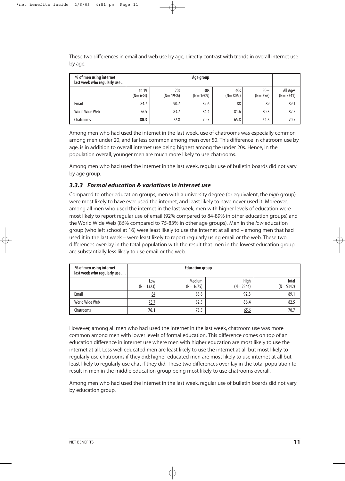These two differences in email and web use by age, directly contrast with trends in overall internet use by age.

| % of men using internet<br>last week who regularly use | Age group            |                     |                                 |                    |                      |                          |  |
|--------------------------------------------------------|----------------------|---------------------|---------------------------------|--------------------|----------------------|--------------------------|--|
|                                                        | to 19<br>$(N = 634)$ | 20s<br>$(N = 1936)$ | 30 <sub>s</sub><br>$(N = 1609)$ | 40s<br>$(N = 806)$ | $50+$<br>$(N = 356)$ | All Ages<br>$(N = 5341)$ |  |
| Email                                                  | 84.7                 | 90.7                | 89.6                            | 88                 | 89                   | 89.1                     |  |
| World Wide Web                                         | <u>76.5</u>          | 83.7                | 84.4                            | 81.6               | 80.3                 | 82.5                     |  |
| Chatrooms                                              | 80.3                 | 72.8                | 70.5                            | 65.8               | 54.5                 | 70.7                     |  |

Among men who had used the internet in the last week, use of chatrooms was especially common among men under 20, and far less common among men over 50. This difference in chatroom use by age, is in addition to overall internet use being highest among the under 20s. Hence, in the population overall, younger men are much more likely to use chatrooms.

Among men who had used the internet in the last week, regular use of bulletin boards did not vary by age group.

#### *3.3.3 Formal education & variations in internet use*

Compared to other education groups, men with a university degree (or equivalent, the *high* group) were most likely to have ever used the internet, and least likely to have never used it. Moreover, among all men who used the internet in the last week, men with higher levels of education were most likely to report regular use of email (92% compared to 84-89% in other education groups) and the World Wide Web (86% compared to 75-83% in other age groups). Men in the *low* education group (who left school at 16) were least likely to use the internet at all and – among men that had used it in the last week – were least likely to report regularly using email or the web. These two differences over-lay in the total population with the result that men in the lowest education group are substantially less likely to use email or the web.

| % of men using internet<br>last week who regularly use |                   |                      |                      |                       |
|--------------------------------------------------------|-------------------|----------------------|----------------------|-----------------------|
|                                                        | Low<br>$(N=1323)$ | Medium<br>$(N=1675)$ | High<br>$(N = 2344)$ | Total<br>$(N = 5342)$ |
| Email                                                  | 84                | 88.8                 | 92.3                 | 89.1                  |
| World Wide Web                                         | <u>75.7</u>       | 82.5                 | 86.4                 | 82.5                  |
| Chatrooms                                              | 76.1              | 73.5                 | 65.6                 | 70.7                  |

However, among all men who had used the internet in the last week, chatroom use was more common among men with lower levels of formal education. This difference comes on top of an education difference in internet use where men with higher education are most likely to use the internet at all. Less well educated men are least likely to use the internet at all but most likely to regularly use chatrooms if they did: higher educated men are most likely to use internet at all but least likely to regularly use chat if they did. These two differences over-lay in the total population to result in men in the middle education group being most likely to use chatrooms overall.

Among men who had used the internet in the last week, regular use of bulletin boards did not vary by education group.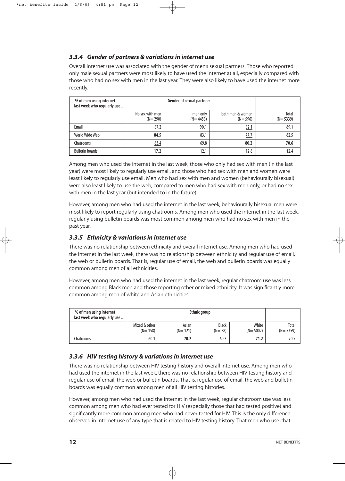#### *3.3.4 Gender of partners & variations in internet use*

Overall internet use was associated with the gender of men's sexual partners. Those who reported only male sexual partners were most likely to have used the internet at all, especially compared with those who had no sex with men in the last year. They were also likely to have used the internet more recently.

| % of men using internet<br>last week who regularly use |                                |                          |                                 |                     |
|--------------------------------------------------------|--------------------------------|--------------------------|---------------------------------|---------------------|
|                                                        | No sex with men<br>$(N = 290)$ | men only<br>$(N = 4453)$ | both men & women<br>$(N = 596)$ | Total<br>$(N=5339)$ |
| Email                                                  | 87.2                           | 90.1                     | 82.1                            | 89.1                |
| World Wide Web                                         | 84.5                           | 83.1                     | 77.7                            | 82.5                |
| Chatrooms                                              | 63.4                           | 69.8                     | 80.2                            | 70.6                |
| <b>Bulletin boards</b>                                 | 17.2                           | 12.1                     | 12.8                            | 12.4                |

Among men who used the internet in the last week, those who only had sex with men (in the last year) were most likely to regularly use email, and those who had sex with men and women were least likely to regularly use email. Men who had sex with men and women (behaviourally bisexual) were also least likely to use the web, compared to men who had sex with men only, or had no sex with men in the last year (but intended to in the future).

However, among men who had used the internet in the last week, behaviourally bisexual men were most likely to report regularly using chatrooms. Among men who used the internet in the last week, regularly using bulletin boards was most common among men who had no sex with men in the past year.

#### *3.3.5 Ethnicity & variations in internet use*

There was no relationship between ethnicity and overall internet use. Among men who had used the internet in the last week, there was no relationship between ethnicity and regular use of email, the web or bulletin boards. That is, regular use of email, the web and bulletin boards was equally common among men of all ethnicities.

However, among men who had used the internet in the last week, regular chatroom use was less common among Black men and those reporting other or mixed ethnicity. It was significantly more common among men of white and Asian ethnicities.

| % of men using internet<br>last week who regularly use |                              | <b>Ethnic group</b>  |                          |                       |                       |  |  |
|--------------------------------------------------------|------------------------------|----------------------|--------------------------|-----------------------|-----------------------|--|--|
|                                                        | Mixed & other<br>$(N = 158)$ | Asian<br>$(N = 121)$ | <b>Black</b><br>$(N=78)$ | White<br>$(N = 5002)$ | Total<br>$(N = 5359)$ |  |  |
| Chatrooms                                              | 60.1                         | 70.2                 | 60.3                     | 71.2                  | 70.7                  |  |  |

#### *3.3.6 HIV testing history & variations in internet use*

There was no relationship between HIV testing history and overall internet use. Among men who had used the internet in the last week, there was no relationship between HIV testing history and regular use of email, the web or bulletin boards. That is, regular use of email, the web and bulletin boards was equally common among men of all HIV testing histories.

However, among men who had used the internet in the last week, regular chatroom use was less common among men who had ever tested for HIV (especially those that had tested positive) and significantly more common among men who had never tested for HIV. This is the only difference observed in internet use of any type that is related to HIV testing history. That men who use chat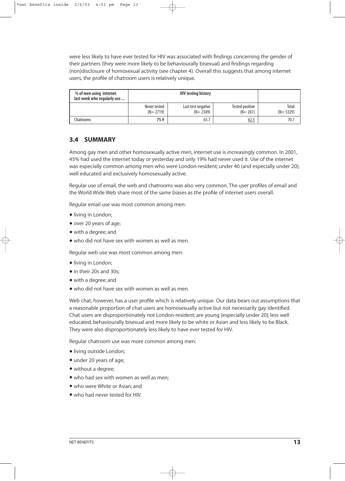were less likely to have ever tested for HIV was associated with findings concerning the gender of their partners (they were more likely to be behaviourally bisexual) and findings regarding (non)disclosure of homosexual activity (see chapter 4). Overall this suggests that among internet users, the profile of chatroom users is relatively unique.

| % of men using internet<br>last week who regularly use |                              |                                  |                                |                     |
|--------------------------------------------------------|------------------------------|----------------------------------|--------------------------------|---------------------|
|                                                        | Never tested<br>$(N = 2719)$ | Last test negative<br>$(N=2349)$ | Tested positive<br>$(N = 261)$ | Total<br>$(N=5329)$ |
| Chatrooms                                              | 75.9                         | 65.7                             | 62.5                           | 70.7                |

#### **3.4 SUMMARY**

Among gay men and other homosexually active men, internet use is increasingly common. In 2001, 45% had used the internet today or yesterday and only 19% had never used it. Use of the internet was especially common among men who were London-resident; under 40 (and especially under 20); well educated and exclusively homosexually active.

Regular use of email, the web and chatrooms was also very common. The user profiles of email and the World Wide Web share most of the same biases as the profile of internet users overall.

Regular email use was most common among men:

- •living in London;
- over 20 years of age;
- with a degree; and
- who did not have sex with women as well as men.

Regular web use was most common among men:

- •living in London;
- in their 20s and 30s:
- with a degree; and
- who did not have sex with women as well as men.

Web chat, however, has a user profile which is relatively unique. Our data bears out assumptions that a reasonable proportion of chat users are homosexually active but not necessarily gay identified. Chat users are disproportionately not London-resident; are young (especially under 20); less well educated, behaviourally bisexual and more likely to be white or Asian and less likely to be Black. They were also disproportionately less likely to have ever tested for HIV.

Regular chatroom use was more common among men:

- •living outside London;
- under 20 years of age;
- without a degree;
- who had sex with women as well as men;
- who were White or Asian; and
- who had never tested for HIV.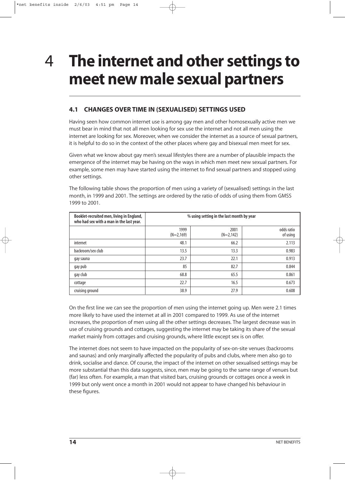### **The internet and other settings to meet new male sexual partners** 4

#### **4.1 CHANGES OVER TIME IN (SEXUALISED) SETTINGS USED**

Having seen how common internet use is among gay men and other homosexually active men we must bear in mind that not all men looking for sex use the internet and not all men using the internet are looking for sex. Moreover, when we consider the internet as a source of sexual partners, it is helpful to do so in the context of the other places where gay and bisexual men meet for sex.

Given what we know about gay men's sexual lifestyles there are a number of plausible impacts the emergence of the internet may be having on the ways in which men meet new sexual partners. For example, some men may have started using the internet to find sexual partners and stopped using other settings.

| Booklet-recruited men, living in England,<br>who had sex with a man in the last year. | % using setting in the last month by year |                      |                        |  |  |
|---------------------------------------------------------------------------------------|-------------------------------------------|----------------------|------------------------|--|--|
|                                                                                       | 1999<br>$(N=2,169)$                       | 2001<br>$(N=2, 142)$ | odds ratio<br>of using |  |  |
| internet                                                                              | 48.1                                      | 66.2                 | 2.113                  |  |  |
| backroom/sex club                                                                     | 13.5                                      | 13.3                 | 0.983                  |  |  |
| gay sauna                                                                             | 23.7                                      | 22.1                 | 0.913                  |  |  |
| gay pub                                                                               | 85                                        | 82.7                 | 0.844                  |  |  |
| gay club                                                                              | 68.8                                      | 65.5                 | 0.861                  |  |  |
| cottage                                                                               | 22.7                                      | 16.5                 | 0.673                  |  |  |
| cruising ground                                                                       | 38.9                                      | 27.9                 | 0.608                  |  |  |

The following table shows the proportion of men using a variety of (sexualised) settings in the last month, in 1999 and 2001. The settings are ordered by the ratio of odds of using them from GMSS 1999 to 2001.

On the first line we can see the proportion of men using the internet going up. Men were 2.1 times more likely to have used the internet at all in 2001 compared to 1999. As use of the internet increases, the proportion of men using all the other settings decreases. The largest decrease was in use of cruising grounds and cottages, suggesting the internet may be taking its share of the sexual market mainly from cottages and cruising grounds, where little except sex is on offer.

The internet does not seem to have impacted on the popularity of sex-on-site venues (backrooms and saunas) and only marginally affected the popularity of pubs and clubs, where men also go to drink, socialise and dance. Of course, the impact of the internet on other sexualised settings may be more substantial than this data suggests, since, men may be going to the same range of venues but (far) less often. For example, a man that visited bars, cruising grounds or cottages once a week in 1999 but only went once a month in 2001 would not appear to have changed his behaviour in these figures.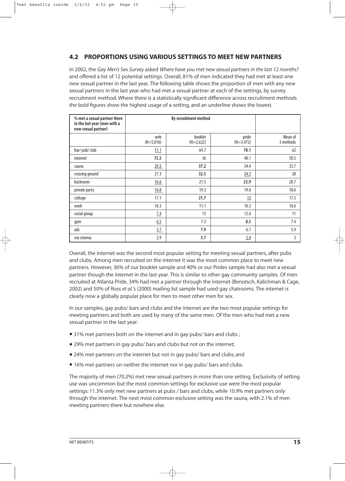#### **4.2 PROPORTIONS USING VARIOUS SETTINGS TO MEET NEW PARTNERS**

In 2002, the *Gay Men's Sex Survey* asked *Where have you met new sexual partners in the last 12 months?* and offered a list of 12 potential settings. Overall, 81% of men indicated they had met at least one new sexual partner in the last year. The following table shows the proportion of men with any new sexual partners in the last year who had met a sexual partner at each of the settings, by survey recruitment method. Where there is a statistically significant difference across recruitment methods the bold figures show the highest usage of a setting, and an underline shows the lowest.

| % met a sexual partner there<br>in the last year (men with a<br>new sexual partner) |                    |                        |                      |                      |
|-------------------------------------------------------------------------------------|--------------------|------------------------|----------------------|----------------------|
|                                                                                     | web<br>$(N=5,016)$ | booklet<br>$(N=2,622)$ | pride<br>$(N=3,472)$ | Mean of<br>3 methods |
| bar/pub/club                                                                        | 51.1               | 64.7                   | 70.1                 | 62                   |
| internet                                                                            | 75.3               | 36                     | 40.1                 | 50.5                 |
| sauna                                                                               | 29.5               | 37.2                   | 34.4                 | 33.7                 |
| cruising ground                                                                     | 27.3               | 32.5                   | 24.3                 | 28                   |
| backroom                                                                            | 16.6               | 21.5                   | 23.9                 | 20.7                 |
| private party                                                                       | 16.8               | 19.3                   | 19.6                 | 18.6                 |
| cottage                                                                             | 17.1               | 21.7                   | 13                   | 17.3                 |
| work                                                                                | 10.3               | 11.1                   | 10.3                 | 10.6                 |
| social group                                                                        | 7.4                | 13                     | 12.6                 | 11                   |
| gym                                                                                 | 6.5                | 7.3                    | 8.5                  | 7.4                  |
| ads                                                                                 | 3.7                | 7.9                    | 6.1                  | 5.9                  |
| sex cinema                                                                          | 2.9                | 3.7                    | 2.4                  | 3                    |

Overall, the internet was the second most popular setting for meeting sexual partners, after pubs and clubs. Among men recruited on the internet it was the most common place to meet new partners. However, 36% of our booklet sample and 40% or our Prides sample had also met a sexual partner though the internet in the last year. This is similar to other gay community samples. Of men recruited at Atlanta Pride, 34% had met a partner through the internet (Benotsch, Kalichman & Cage, 2002) and 50% of Ross *et al.*'s (2000) mailing list sample had used gay chatrooms. The internet is clearly now a globally popular place for men to meet other men for sex.

In our samples, gay pubs/ bars and clubs and the internet are the two most popular settings for meeting partners and both are used by many of the same men. Of the men who had met a new sexual partner in the last year:

- 31% met partners both on the internet and in gay pubs/ bars and clubs ;
- 29% met partners in gay pubs/ bars and clubs but not on the internet;
- 24% met partners on the internet but not in gay pubs/ bars and clubs; and
- 16% met partners on neither the internet nor in gay pubs/ bars and clubs.

The majority of men (70.2%) met new sexual partners in more than one setting. Exclusivity of setting use was uncommon but the most common settings for exclusive use were the most popular settings: 11.3% only met new partners at pubs / bars and clubs, while 10.9% met partners only through the internet. The next most common exclusive setting was the sauna, with 2.1% of men meeting partners there but nowhere else.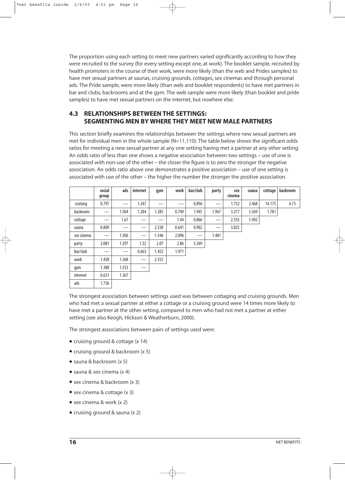The proportion using each setting to meet new partners varied significantly according to how they were recruited to the survey (for every setting except one, at work). The booklet sample, recruited by health promoters in the course of their work, were more likely (than the web and Prides samples) to have met sexual partners at saunas, cruising grounds, cottages, sex cinemas and through personal ads. The Pride sample, were more likely (than web and booklet respondents) to have met partners in bar and clubs, backrooms and at the gym. The web sample were more likely (than booklet and pride samples) to have met sexual partners on the internet, but nowhere else.

#### **4.3 RELATIONSHIPS BETWEEN THE SETTINGS: SEGMENTING MEN BY WHERE THEY MEET NEW MALE PARTNERS**

This section briefly examines the relationships between the settings where new sexual partners are met for individual men in the whole sample (N=11,110). The table below shows the significant odds ratios for meeting a new sexual partner at any one setting having met a partner at any other setting. An odds ratio of less than one shows a negative association between two settings – use of one is associated with non-use of the other – the closer the figure is to zero the stronger the negative association. An odds ratio above one demonstrates a positive association – use of one setting is associated with use of the other – the higher the number the stronger the positive association.

|            | social<br>group                 | ads   | internet                      | gym   | work  | bar/club          | party                         | sex<br>cinema | sauna | cottage | backroom |
|------------|---------------------------------|-------|-------------------------------|-------|-------|-------------------|-------------------------------|---------------|-------|---------|----------|
| cruising   | 0.797                           |       | 1.247                         |       |       | 0.896             |                               | 1.732         | 2.468 | 14.175  | 4.73     |
| backroom   |                                 | 1.504 | 1.284                         | 1.285 | 0.749 | 1.945             | 1.967                         | 3.217         | 5.369 | 1.781   |          |
| cottage    |                                 | 1.67  |                               |       | 1.44  | 0.866             |                               | 2.555         | 1.492 |         |          |
| sauna      | 0.809                           |       | $\overbrace{\phantom{13333}}$ | 2.538 | 0.641 | 0.902             | $\overbrace{\phantom{aaaaa}}$ | 3.825         |       |         |          |
| sex cinema | $\hspace{0.1mm}-\hspace{0.1mm}$ | 1.506 | $\hspace{0.05cm}$             | 1.546 | 2.096 | $\hspace{0.05cm}$ | 1.481                         |               |       |         |          |
| party      | 2.081                           | 1.297 | 1.32                          | 2.07  | 2.86  | 3.269             |                               |               |       |         |          |
| bar/club   |                                 |       | 0.663                         | 1.452 | 1.971 |                   |                               |               |       |         |          |
| work       | 1.458                           | 1.368 |                               | 2.353 |       |                   |                               |               |       |         |          |
| gym        | 1.388                           | 1.553 |                               |       |       |                   |                               |               |       |         |          |
| internet   | 0.631                           | 1.367 |                               |       |       |                   |                               |               |       |         |          |
| ads        | 1.736                           |       |                               |       |       |                   |                               |               |       |         |          |

The strongest association between settings used was between cottaging and cruising grounds. Men who had met a sexual partner at either a cottage or a cruising ground were 14 times more likely to have met a partner at the other setting, compared to men who had not met a partner at either setting (see also Keogh, Hickson & Weatherburn, 2000).

The strongest associations between pairs of settings used were:

- cruising ground & cottage (x 14)
- cruising ground & backroom (x 5)
- sauna & backroom (x 5)
- sauna & sex cinema (x 4)
- sex cinema & backroom (x 3)
- sex cinema & cottage (x 3)
- sex cinema & work (x 2)
- cruising ground & sauna (x 2)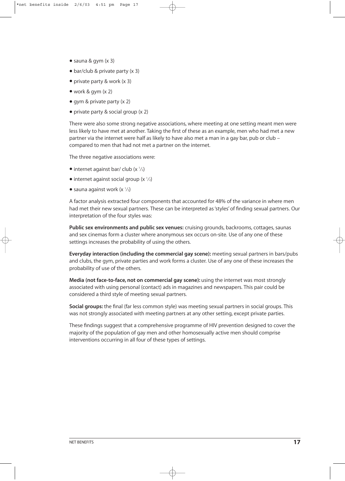- sauna & gym (x 3)
- bar/club & private party (x 3)
- private party & work (x 3)
- work & gym (x 2)
- gym & private party (x 2)
- private party & social group (x 2)

There were also some strong negative associations, where meeting at one setting meant men were less likely to have met at another. Taking the first of these as an example, men who had met a new partner via the internet were half as likely to have also met a man in a gay bar, pub or club – compared to men that had not met a partner on the internet.

The three negative associations were:

- internet against bar/ club  $(x \frac{1}{2})$
- $\bullet$  internet against social group (x  $\frac{1}{2}$ )
- $\bullet$  sauna against work (x  $\frac{1}{2}$ )

A factor analysis extracted four components that accounted for 48% of the variance in where men had met their new sexual partners. These can be interpreted as 'styles' of finding sexual partners. Our interpretation of the four styles was:

**Public sex environments and public sex venues:** cruising grounds, backrooms, cottages, saunas and sex cinemas form a cluster where anonymous sex occurs on-site. Use of any one of these settings increases the probability of using the others.

**Everyday interaction (including the commercial gay scene):** meeting sexual partners in bars/pubs and clubs, the gym, private parties and work forms a cluster. Use of any one of these increases the probability of use of the others.

**Media (not face-to-face, not on commercial gay scene):** using the internet was most strongly associated with using personal (contact) ads in magazines and newspapers. This pair could be considered a third style of meeting sexual partners.

**Social groups:** the final (far less common style) was meeting sexual partners in social groups. This was not strongly associated with meeting partners at any other setting, except private parties.

These findings suggest that a comprehensive programme of HIV prevention designed to cover the majority of the population of gay men and other homosexually active men should comprise interventions occurring in all four of these types of settings.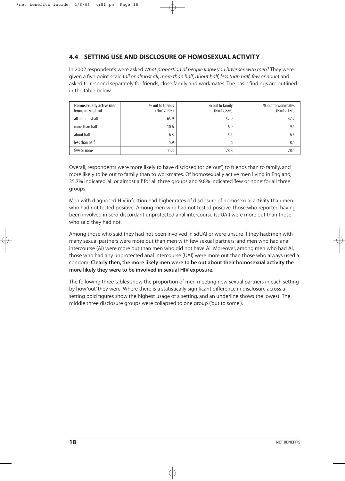#### **4.4 SETTING USE AND DISCLOSURE OF HOMOSEXUAL ACTIVITY**

In 2002 respondents were asked *What proportion of people know you have sex with men?* They were given a five point scale (*all or almost all; more than half; about half; less than half; few or none*) and asked to respond separately for friends, close family and workmates. The basic findings are outlined in the table below.

| Homosexually active men<br>living in England | % out to friends<br>$(N=12,905)$ | % out to family<br>$(N=12,886)$ | % out to workmates<br>$(N=12,180)$ |
|----------------------------------------------|----------------------------------|---------------------------------|------------------------------------|
| all or almost all                            | 65.9                             | 52.9                            | 47.2                               |
| more than half                               | 10.6                             | 6.9                             | 9.1                                |
| about half                                   | 6.3                              | 5.4                             |                                    |
| less than half                               | 5.9                              | b                               | 8.5                                |
| few or none                                  | 11.3                             | 28.8                            | 28.5                               |

Overall, respondents were more likely to have disclosed (or be 'out') to friends than to family, and more likely to be out to family than to workmates. Of homosexually active men living in England, 35.7% indicated 'all or almost all' for all three groups and 9.8% indicated 'few or none' for all three groups.

Men with diagnosed HIV infection had higher rates of disclosure of homosexual activity than men who had not tested positive. Among men who had not tested positive, those who reported having been involved in sero-discordant unprotected anal intercourse (sdUAI) were more out than those who said they had not.

Among those who said they had not been involved in sdUAI or were unsure if they had: men with many sexual partners were more out than men with few sexual partners; and men who had anal intercourse (AI) were more out than men who did not have AI. Moreover, among men who had AI, those who had any unprotected anal intercourse (UAI) were more out than those who always used a condom. **Clearly then, the more likely men were to be out about their homosexual activity the more likely they were to be involved in sexual HIV exposure.**

The following three tables show the proportion of men meeting new sexual partners in each setting by how 'out' they were. Where there is a statistically significant difference in disclosure across a setting bold figures show the highest usage of a setting, and an underline shows the lowest. The middle three disclosure groups were collapsed to one group ('out to some').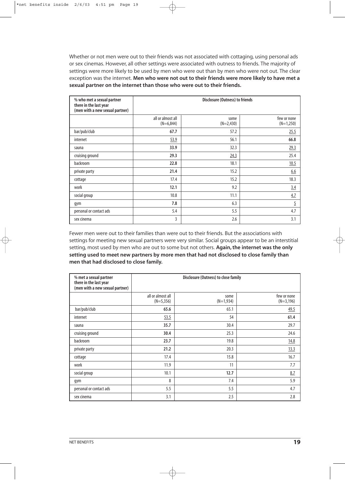Whether or not men were out to their friends was not associated with cottaging, using personal ads or sex cinemas. However, all other settings were associated with outness to friends. The majority of settings were more likely to be used by men who were out than by men who were not out. The clear exception was the internet. **Men who were not out to their friends were more likely to have met a sexual partner on the internet than those who were out to their friends.**

| % who met a sexual partner<br>there in the last year<br>(men with a new sexual partner) |                                  | <b>Disclosure (Outness) to friends</b> |                            |
|-----------------------------------------------------------------------------------------|----------------------------------|----------------------------------------|----------------------------|
|                                                                                         | all or almost all<br>$(N=6,844)$ | some<br>$(N=2,430)$                    | few or none<br>$(N=1,250)$ |
| bar/pub/club                                                                            | 67.7                             | 57.2                                   | 25.5                       |
| internet                                                                                | 53.9                             | 56.1                                   | 66.8                       |
| sauna                                                                                   | 33.9                             | 32.3                                   | 29.3                       |
| cruising ground                                                                         | 29.3                             | 24.3                                   | 25.4                       |
| backroom                                                                                | 22.8                             | 18.1                                   | 10.5                       |
| private party                                                                           | 21.4                             | 15.2                                   | 6.6                        |
| cottage                                                                                 | 17.4                             | 15.2                                   | 18.3                       |
| work                                                                                    | 12.1                             | 9.2                                    | 3.4                        |
| social group                                                                            | 10.8                             | 11.1                                   | 4.7                        |
| gym                                                                                     | 7.8                              | 6.3                                    | $\overline{5}$             |
| personal or contact ads                                                                 | 5.4                              | 5.5                                    | 4.7                        |
| sex cinema                                                                              | 3                                | 2.6                                    | 3.1                        |

Fewer men were out to their families than were out to their friends. But the associations with settings for meeting new sexual partners were very similar. Social groups appear to be an interstitial setting, most used by men who are out to some but not others. **Again, the internet was the only setting used to meet new partners by more men that had not disclosed to close family than men that had disclosed to close family.**

| % met a sexual partner<br>there in the last year<br>(men with a new sexual partner) | Disclosure (Outness) to close family |                     |                            |  |  |
|-------------------------------------------------------------------------------------|--------------------------------------|---------------------|----------------------------|--|--|
|                                                                                     | all or almost all<br>$(N=5,356)$     | some<br>$(N=1,934)$ | few or none<br>$(N=3,196)$ |  |  |
| bar/pub/club                                                                        | 65.6                                 | 65.1                | 49.5                       |  |  |
| internet                                                                            | 53.5                                 | 54                  | 61.4                       |  |  |
| sauna                                                                               | 35.7                                 | 30.4                | 29.7                       |  |  |
| cruising ground                                                                     | 30.4                                 | 25.3                | 24.6                       |  |  |
| backroom                                                                            | 23.7                                 | 19.8                | 14.8                       |  |  |
| private party                                                                       | 21.2                                 | 20.3                | <u>13.3</u>                |  |  |
| cottage                                                                             | 17.4                                 | 15.8                | 16.7                       |  |  |
| work                                                                                | 11.9                                 | 11                  | 7.7                        |  |  |
| social group                                                                        | 10.1                                 | 12.7                | 8.7                        |  |  |
| gym                                                                                 | 8                                    | 7.4                 | 5.9                        |  |  |
| personal or contact ads                                                             | 5.5                                  | 5.5                 | 4.7                        |  |  |
| sex cinema                                                                          | 3.1                                  | 2.5                 | 2.8                        |  |  |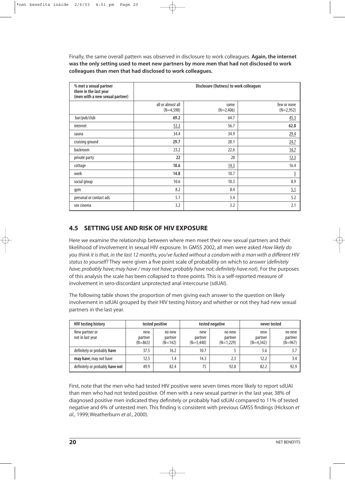Finally, the same overall pattern was observed in disclosure to work colleagues. **Again, the internet was the only setting used to meet new partners by more men that had not disclosed to work colleagues than men that had disclosed to work colleagues.**

| % met a sexual partner<br>there in the last year<br>(men with a new sexual partner) | <b>Disclosure (Outness) to work colleagues</b> |                     |                            |  |
|-------------------------------------------------------------------------------------|------------------------------------------------|---------------------|----------------------------|--|
|                                                                                     | all or almost all<br>$(N=4,598)$               | some<br>$(N=2,406)$ | few or none<br>$(N=2,952)$ |  |
| bar/pub/club                                                                        | 69.2                                           | 64.7                | 45.3                       |  |
| internet                                                                            | 52.2                                           | 56.7                | 62.8                       |  |
| sauna                                                                               | 34.4                                           | 34.9                | 29.4                       |  |
| cruising ground                                                                     | 29.7                                           | 28.1                | 24.7                       |  |
| backroom                                                                            | 23.2                                           | 22.6                | 14.7                       |  |
| private party                                                                       | 22                                             | 20                  | 12.3                       |  |
| cottage                                                                             | 18.6                                           | 14.3                | 16.4                       |  |
| work                                                                                | 14.8                                           | 10.7                | $\overline{5}$             |  |
| social group                                                                        | 10.6                                           | 10.3                | 8.9                        |  |
| gym                                                                                 | 8.2                                            | 8.4                 | 5.1                        |  |
| personal or contact ads                                                             | 5.1                                            | 5.4                 | 5.2                        |  |
| sex cinema                                                                          | 3.2                                            | 3.2                 | 2.1                        |  |

#### **4.5 SETTING USE AND RISK OF HIV EXPOSURE**

Here we examine the relationship between where men meet their new sexual partners and their likelihood of involvement in sexual HIV exposure. In GMSS 2002, all men were asked *How likely do you think it is that, in the last 12 months, you've fucked without a condom with a man with a different HIV status to yourself?* They were given a five point scale of probability on which to answer (*definitely have; probably have; may have / may not have; probably have not; definitely have not*). For the purposes of this analysis the scale has been collapsed to three points. This is a self-reported measure of involvement in sero-discordant unprotected anal intercourse (sdUAI).

The following table shows the proportion of men giving each answer to the question on likely involvement in sdUAI grouped by their HIV testing history and whether or not they had new sexual partners in the last year.

| <b>HIV testing history</b>         | tested positive             |                                | tested negative               |                                  | never tested                  |                                |
|------------------------------------|-----------------------------|--------------------------------|-------------------------------|----------------------------------|-------------------------------|--------------------------------|
| New partner or<br>not in last year | new<br>partner<br>$(N=863)$ | no new<br>partner<br>$(N=142)$ | new<br>partner<br>$(N=5,440)$ | no new<br>partner<br>$(N=1,229)$ | new<br>partner<br>$(N=4.342)$ | no new<br>partner<br>$(N=967)$ |
| definitely or probably have        | 37.5                        | 16.2                           | 10.7                          |                                  | 5.6                           | 3.7                            |
| may have, may not have             | 12.5                        | 1.4                            | 14.3                          | 2.3                              | 12.2                          | 3.4                            |
| definitely or probably have not    | 49.9                        | 82.4                           | 75                            | 92.8                             | 82.2                          | 92.9                           |

First, note that the men who had tested HIV positive were seven times more likely to report sdUAI than men who had not tested positive. Of men with a new sexual partner in the last year, 38% of diagnosed positive men indicated they definitely or probably had sdUAI compared to 11% of tested negative and 6% of untested men. This finding is consistent with previous GMSS findings (Hickson *et al.*, 1999; Weatherburn *et al.*, 2000).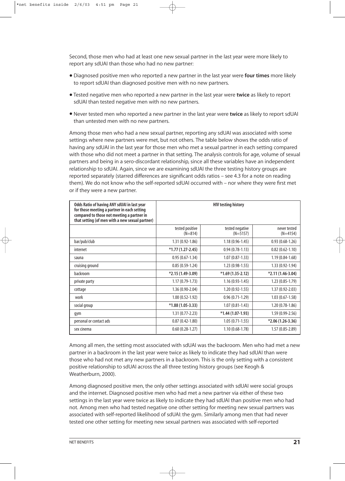Second, those men who had at least one new sexual partner in the last year were more likely to report any sdUAI than those who had no new partner:

- Diagnosed positive men who reported a new partner in the last year were **four times** more likely to report sdUAI than diagnosed positive men with no new partners.
- Tested negative men who reported a new partner in the last year were **twice** as likely to report sdUAI than tested negative men with no new partners.
- Never tested men who reported a new partner in the last year were **twice** as likely to report sdUAI than untested men with no new partners.

Among those men who had a new sexual partner, reporting any sdUAI was associated with some settings where new partners were met, but not others. The table below shows the odds ratio of having any sdUAI in the last year for those men who met a sexual partner in each setting compared with those who did not meet a partner in that setting. The analysis controls for age, volume of sexual partners and being in a sero-discordant relationship, since all these variables have an independent relationship to sdUAI. Again, since we are examining sdUAI the three testing history groups are reported separately (starred differences are significant odds ratios – see 4.3 for a note on reading them). We do not know who the self-reported sdUAI occurred with – nor where they were first met or if they were a new partner.

| Odds Ratio of having ANY sdUAI in last year<br>for those meeting a partner in each setting<br>compared to those not meeting a partner in<br>that setting (of men with a new sexual partner) | <b>HIV testing history</b>   |                               |                            |  |  |
|---------------------------------------------------------------------------------------------------------------------------------------------------------------------------------------------|------------------------------|-------------------------------|----------------------------|--|--|
|                                                                                                                                                                                             | tested positive<br>$(N=814)$ | tested negative<br>$(N=5157)$ | never tested<br>$(N=4154)$ |  |  |
| bar/pub/club                                                                                                                                                                                | $1.31(0.92 - 1.86)$          | $1.18(0.96 - 1.45)$           | $0.93(0.68-1.26)$          |  |  |
| internet                                                                                                                                                                                    | $*1.77(1.27-2.45)$           | $0.94(0.78-1.13)$             | $0.82(0.62 - 1.10)$        |  |  |
| sauna                                                                                                                                                                                       | $0.95(0.67-1.34)$            | $1.07(0.87-1.33)$             | $1.19(0.84-1.68)$          |  |  |
| cruising ground                                                                                                                                                                             | $0.85(0.59-1.24)$            | $1.23(0.98-1.55)$             | $1.33(0.92 - 1.94)$        |  |  |
| backroom                                                                                                                                                                                    | $*2.15(1.49-3.09)$           | $*1.69(1.35-2.12)$            | $*2.11(1.46-3.04)$         |  |  |
| private party                                                                                                                                                                               | $1.17(0.79-1.73)$            | $1.16(0.93-1.45)$             | $1.23(0.85-1.79)$          |  |  |
| cottage                                                                                                                                                                                     | $1.36(0.90-2.04)$            | $1.20(0.92 - 1.55)$           | $1.37(0.92 - 2.03)$        |  |  |
| work                                                                                                                                                                                        | $1.00(0.52 - 1.92)$          | $0.96(0.71-1.29)$             | $1.03(0.67-1.58)$          |  |  |
| social group                                                                                                                                                                                | $*1.88(1.05-3.33)$           | $1.07(0.81 - 1.43)$           | $1.20(0.78-1.86)$          |  |  |
| gym                                                                                                                                                                                         | $1.31(0.77 - 2.23)$          | $*1.44(1.07-1.93)$            | $1.59(0.99-2.56)$          |  |  |
| personal or contact ads                                                                                                                                                                     | $0.87(0.42 - 1.80)$          | $1.05(0.71-1.55)$             | $*2.06(1.26-3.36)$         |  |  |
| sex cinema                                                                                                                                                                                  | $0.60(0.28-1.27)$            | $1.10(0.68-1.78)$             | $1.57(0.85-2.89)$          |  |  |

Among all men, the setting most associated with sdUAI was the backroom. Men who had met a new partner in a backroom in the last year were twice as likely to indicate they had sdUAI than were those who had not met any new partners in a backroom. This is the only setting with a consistent positive relationship to sdUAI across the all three testing history groups (see Keogh & Weatherburn, 2000).

Among diagnosed positive men, the only other settings associated with sdUAI were social groups and the internet. Diagnosed positive men who had met a new partner via either of these two settings in the last year were twice as likely to indicate they had sdUAI than positive men who had not. Among men who had tested negative one other setting for meeting new sexual partners was associated with self-reported likelihood of sdUAI: the gym. Similarly among men that had never tested one other setting for meeting new sexual partners was associated with self-reported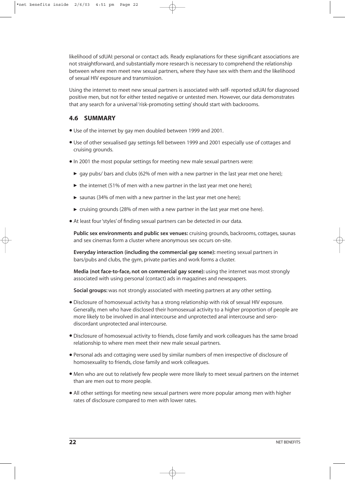likelihood of sdUAI: personal or contact ads. Ready explanations for these significant associations are not straightforward, and substantially more research is necessary to comprehend the relationship between where men meet new sexual partners, where they have sex with them and the likelihood of sexual HIV exposure and transmission.

Using the internet to meet new sexual partners is associated with self- reported sdUAI for diagnosed positive men, but not for either tested negative or untested men. However, our data demonstrates that any search for a universal 'risk-promoting setting' should start with backrooms.

#### **4.6 SUMMARY**

- Use of the internet by gay men doubled between 1999 and 2001.
- Use of other sexualised gay settings fell between 1999 and 2001 especially use of cottages and cruising grounds.
- •In 2001 the most popular settings for meeting new male sexual partners were:
	- $\triangleright$  gay pubs/ bars and clubs (62% of men with a new partner in the last year met one here);
	- $\triangleright$  the internet (51% of men with a new partner in the last year met one here);
	- $\triangleright$  saunas (34% of men with a new partner in the last year met one here);
	- $\triangleright$  cruising grounds (28% of men with a new partner in the last year met one here).
- At least four 'styles' of finding sexual partners can be detected in our data.

**Public sex environments and public sex venues:** cruising grounds, backrooms, cottages, saunas and sex cinemas form a cluster where anonymous sex occurs on-site.

**Everyday interaction (including the commercial gay scene):** meeting sexual partners in bars/pubs and clubs, the gym, private parties and work forms a cluster.

**Media (not face-to-face, not on commercial gay scene):** using the internet was most strongly associated with using personal (contact) ads in magazines and newspapers.

**Social groups:** was not strongly associated with meeting partners at any other setting.

- Disclosure of homosexual activity has a strong relationship with risk of sexual HIV exposure. Generally, men who have disclosed their homosexual activity to a higher proportion of people are more likely to be involved in anal intercourse and unprotected anal intercourse and serodiscordant unprotected anal intercourse.
- Disclosure of homosexual activity to friends, close family and work colleagues has the same broad relationship to where men meet their new male sexual partners.
- Personal ads and cottaging were used by similar numbers of men irrespective of disclosure of homosexuality to friends, close family and work colleagues.
- Men who are out to relatively few people were more likely to meet sexual partners on the internet than are men out to more people.
- All other settings for meeting new sexual partners were more popular among men with higher rates of disclosure compared to men with lower rates.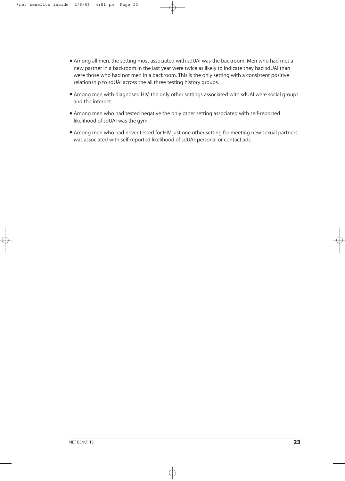- Among all men, the setting most associated with sdUAI was the backroom. Men who had met a new partner in a backroom in the last year were twice as likely to indicate they had sdUAI than were those who had not men in a backroom. This is the only setting with a consistent positive relationship to sdUAI across the all three testing history groups.
- Among men with diagnosed HIV, the only other settings associated with sdUAI were social groups and the internet.
- Among men who had tested negative the only other setting associated with self-reported likelihood of sdUAI was the gym.
- Among men who had never tested for HIV just one other setting for meeting new sexual partners was associated with self-reported likelihood of sdUAI: personal or contact ads.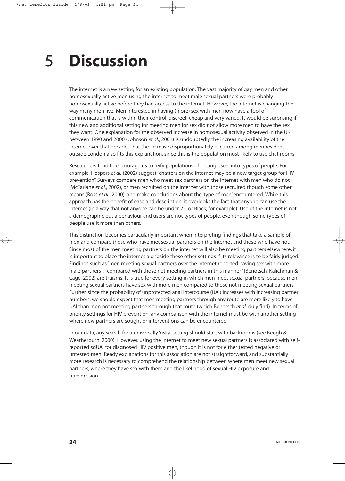### **Discussion** 5

The internet is a new setting for an existing population. The vast majority of gay men and other homosexually active men using the internet to meet male sexual partners were probably homosexually active before they had access to the internet. However, the internet is changing the way many men live. Men interested in having (more) sex with men now have a tool of communication that is within their control, discreet, cheap and very varied. It would be surprising if this new and additional setting for meeting men for sex did not allow more men to have the sex they want. One explanation for the observed increase in homosexual activity observed in the UK between 1990 and 2000 (Johnson *et al.*, 2001) is undoubtedly the increasing availability of the internet over that decade. That the increase disproportionately occurred among men resident outside London also fits this explanation, since this is the population most likely to use chat rooms.

Researchers tend to encourage us to reify populations of setting users into types of people. For example, Hospers *et al.* (2002) suggest "chatters on the internet may be a new target group for HIV prevention". Surveys compare men who meet sex partners on the internet with men who do not (McFarlane *et al.*, 2002), or men recruited on the internet with those recruited though some other means (Ross *et al.*, 2000), and make conclusions about the 'type of men' encountered. While this approach has the benefit of ease and description, it overlooks the fact that anyone can use the internet (in a way that not anyone can be under 25, or Black, for example). Use of the internet is not a demographic but a behaviour and users are not types of people, even though some types of people use it more than others.

This distinction becomes particularly important when interpreting findings that take a sample of men and compare those who have met sexual partners on the internet and those who have not. Since most of the men meeting partners on the internet will also be meeting partners elsewhere, it is important to place the internet alongside these other settings if its relevance is to be fairly judged. Findings such as "men meeting sexual partners over the internet reported having sex with more male partners ... compared with those not meeting partners in this manner" (Benotsch, Kalichman & Cage, 2002) are truisms. It is true for every setting in which men meet sexual partners, because men meeting sexual partners have sex with more men compared to those not meeting sexual partners. Further, since the probability of unprotected anal intercourse (UAI) increases with increasing partner numbers, we should expect that men meeting partners through any route are more likely to have UAI than men not meeting partners through that route (which Benotsch *et al.* duly find). In terms of priority settings for HIV prevention, any comparison with the internet must be with another setting where new partners are sought or interventions can be encountered.

In our data, any search for a universally 'risky' setting should start with backrooms (see Keogh & Weatherburn, 2000). However, using the internet to meet new sexual partners is associated with selfreported sdUAI for diagnosed HIV positive men, though it is not for either tested negative or untested men. Ready explanations for this association are not straightforward, and substantially more research is necessary to comprehend the relationship between where men meet new sexual partners, where they have sex with them and the likelihood of sexual HIV exposure and transmission.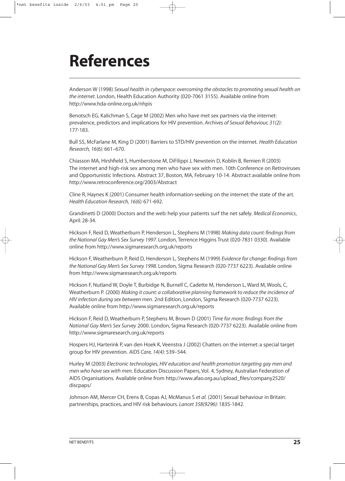# **References**

Anderson W (1998) *Sexual health in cyberspace: overcoming the obstacles to promoting sexual health on the internet.* London, Health Education Authority (020-7061 3155). Available online from http://www.hda-online.org.uk/nhpis

Benotsch EG, Kalichman S, Cage M (2002) Men who have met sex partners via the internet: prevalence, predictors and implications for HIV prevention. *Archives of Sexual Behaviour, 31(2):* 177-183.

Bull SS, McFarlane M, King D (2001) Barriers to STD/HIV prevention on the internet. *Health Education Research, 16(6):* 661–670.

Chiasson MA, Hirshfield S, Humberstone M, DiFilippi J, Newstein D, Koblin B, Remien R (2003) The internet and high-risk sex among men who have sex with men. 10th Conference on Retroviruses and Opportunistic Infections. Abstract 37, Boston, MA, February 10-14. Abstract available online from http://www.retroconference.org/2003/Abstract

Cline R, Haynes K (2001) Consumer health information-seeking on the internet: the state of the art. *Health Education Research, 16(6):* 671-692.

Grandinetti D (2000) Doctors and the web: help your patients surf the net safely. *Medical Economics*, April: 28-34.

Hickson F, Reid D, Weatherburn P, Henderson L, Stephens M (1998) *Making data count: findings from the National Gay Men's Sex Survey 1997.* London, Terrence Higgins Trust (020-7831 0330). Available online from http://www.sigmaresearch.org.uk/reports

Hickson F, Weatherburn P, Reid D, Henderson L, Stephens M (1999) *Evidence for change: findings from the National Gay Men's Sex Survey 1998.* London, Sigma Research (020-7737 6223). Available online from http://www.sigmaresearch.org.uk/reports

Hickson F, Nutland W, Doyle T, Burbidge N, Burnell C, Cadette M, Henderson L, Ward M, Wools, C, Weatherburn P. (2000) *Making it count: a collaborative planning framework to reduce the incidence of HIV infection during sex between men.* 2nd Edition, London, Sigma Research (020-7737 6223). Available online from http://www.sigmaresearch.org.uk/reports

Hickson F, Reid D, Weatherburn P, Stephens M, Brown D (2001) *Time for more: findings from the National Gay Men's Sex Survey* 2000. London, Sigma Research (020-7737 6223). Available online from http://www.sigmaresearch.org.uk/reports

Hospers HJ, Harterink P, van den Hoek K, Veenstra J (2002) Chatters on the internet: a special target group for HIV prevention. *AIDS Care, 14(4):* 539–544.

Hurley M (2003) *Electronic technologies, HIV education and health promotion targeting gay men and men who have sex with men.* Education Discussion Papers, Vol. 4, Sydney, Australian Federation of AIDS Organisations. Available online from http://www.afao.org.au/upload\_files/company2520/ discpaps/

Johnson AM, Mercer CH, Erens B, Copas AJ, McManus S *et al.* (2001) Sexual behaviour in Britain: partnerships, practices, and HIV risk behaviours. *Lancet 358(9296):* 1835-1842.